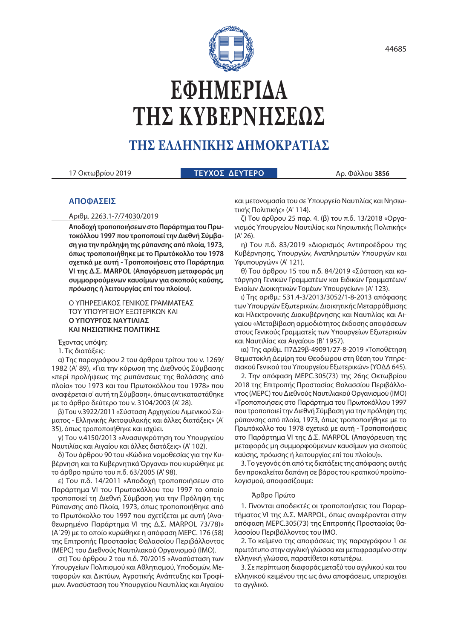

# **ΕΦΗΜΕΡΙ∆Α ΤΗΣ ΚΥΒΕΡΝΗΣΕΩΣ**

# **ΤΗΣ ΕΛΛΗΝΙΚΗΣ ∆ΗΜΟΚΡΑΤΙΑΣ**

| 17 Οκτωβρίου 2019 | <b>  ΤΕΥΧΟΣ ΔΕΥΤΕΡΟ <sup> </sup></b> |                 |
|-------------------|--------------------------------------|-----------------|
|                   |                                      | Αρ. Φύλλου 3856 |

# **ΑΠΟΦΑΣΕΙΣ**

Αριθμ. 2263.1-7/74030/2019

**Αποδοχή τροποποιήσεων στο Παράρτημα του Πρωτοκόλλου 1997 που τροποποιεί την Διεθνή Σύμβαση για την πρόληψη της ρύπανσης από πλοία, 1973, όπως τροποποιήθηκε με το Πρωτόκολλο του 1978 σχετικά με αυτή - Τροποποιήσεις στο Παράρτημα VI της Δ.Σ. MARPOL (Απαγόρευση μεταφοράς μη συμμορφούμενων καυσίμων για σκοπούς καύσης, πρόωσης ή λειτουργίας επί του πλοίου).**

#### Ο ΥΠΗΡΕΣΙΑΚΟΣ ΓΕΝΙΚΟΣ ΓΡΑΜΜΑΤΕΑΣ ΤΟΥ ΥΠΟΥΡΓΕΙΟΥ ΕΞΩΤΕΡΙΚΩΝ ΚΑΙ **Ο ΥΠΟΥΡΓΟΣ ΝΑΥΤΙΛΙΑΣ ΚΑΙ ΝΗΣΙΩΤΙΚΗΣ ΠΟΛΙΤΙΚΗΣ**

Έχοντας υπόψη:

1. Τις διατάξεις:

α) Της παραγράφου 2 του άρθρου τρίτου του ν. 1269/ 1982 (Α' 89), «Για την κύρωση της Διεθνούς Σύμβασης «περί προλήψεως της ρυπάνσεως της θαλάσσης από πλοία» του 1973 και του Πρωτοκόλλου του 1978» που αναφέρεται σ' αυτή τη Σύμβαση», όπως αντικαταστάθηκε με το άρθρο δεύτερο του ν. 3104/2003 (Α' 28).

β) Του ν.3922/2011 «Σύσταση Αρχηγείου Λιμενικού Σώματος - Ελληνικής Ακτοφυλακής και άλλες διατάξεις» (Α' 35), όπως τροποποιήθηκε και ισχύει.

γ) Του ν.4150/2013 «Ανασυγκρότηση του Υπουργείου Ναυτιλίας και Αιγαίου και άλλες διατάξεις» (Α' 102).

δ) Του άρθρου 90 του «Κώδικα νομοθεσίας για την Κυβέρνηση και τα Κυβερνητικά Όργανα» που κυρώθηκε με το άρθρο πρώτο του π.δ. 63/2005 (Α' 98).

ε) Του π.δ. 14/2011 «Αποδοχή τροποποιήσεων στο Παράρτημα VI του Πρωτοκόλλου του 1997 το οποίο τροποποιεί τη Διεθνή Σύμβαση για την Πρόληψη της Ρύπανσης από Πλοία, 1973, όπως τροποποιήθηκε από το Πρωτόκολλο του 1997 που σχετίζεται με αυτή (Αναθεωρημένο Παράρτημα VI της Δ.Σ. MARPOL 73/78)» (Α΄29) με το οποίο κυρώθηκε η απόφαση ΜΕPC. 176 (58) της Επιτροπής Προστασίας Θαλασσίου Περιβάλλοντος (MEPC) του Διεθνούς Ναυτιλιακού Οργανισμού (ΙΜΟ).

στ) Του άρθρου 2 του π.δ. 70/2015 «Ανασύσταση των Υπουργείων Πολιτισμού και Αθλητισμού, Υποδομών, Μεταφορών και Δικτύων, Αγροτικής Ανάπτυξης και Τροφίμων. Ανασύσταση του Υπουργείου Ναυτιλίας και Αιγαίου

και μετονομασία του σε Υπουργείο Ναυτιλίας και Νησιωτικής Πολιτικής» (Α' 114).

ζ) Του άρθρου 25 παρ. 4. (β) του π.δ. 13/2018 «Οργανισμός Υπουργείου Ναυτιλίας και Νησιωτικής Πολιτικής» (Α' 26).

η) Του π.δ. 83/2019 «Διορισμός Αντιπροέδρου της Κυβέρνησης, Υπουργών, Αναπληρωτών Υπουργών και Υφυπουργών» (Α' 121).

θ) Του άρθρου 15 του π.δ. 84/2019 «Σύσταση και κατάργηση Γενικών Γραμματέων και Ειδικών Γραμματέων/ Ενιαίων Διοικητικών Τομέων Υπουργείων» (Α' 123).

ι) Της αριθμ.: 531.4-3/2013/3052/1-8-2013 απόφασης των Υπουργών Εξωτερικών, Διοικητικής Μεταρρύθμισης και Ηλεκτρονικής Διακυβέρνησης και Ναυτιλίας και Αιγαίου «Μεταβίβαση αρμοδιότητος έκδοσης αποφάσεων στους Γενικούς Γραμματείς των Υπουργείων Εξωτερικών και Ναυτιλίας και Αιγαίου» (Β' 1957).

ια) Της αριθμ. Π7Δ29β-49091/27-8-2019 «Τοποθέτηση Θεμιστοκλή Δεμίρη του Θεοδώρου στη θέση του Υπηρεσιακού Γενικού του Υπουργείου Εξωτερικών» (ΥΟΔΔ 645).

2. Την απόφαση MEPC.305(73) της 26ης Οκτωβρίου 2018 της Επιτροπής Προστασίας Θαλασσίου Περιβάλλοντος (MEPC) του Διεθνούς Ναυτιλιακού Οργανισμού (ΙΜΟ) «Τροποποιήσεις στο Παράρτημα του Πρωτοκόλλου 1997 που τροποποιεί την Διεθνή Σύμβαση για την πρόληψη της ρύπανσης από πλοία, 1973, όπως τροποποιήθηκε με το Πρωτόκολλο του 1978 σχετικά με αυτή - Τροποποιήσεις στο Παράρτημα VI της Δ.Σ. MARPOL (Απαγόρευση της μεταφοράς μη συμμορφούμενων καυσίμων για σκοπούς καύσης, πρόωσης ή λειτουργίας επί του πλοίου)».

3. Το γεγονός ότι από τις διατάξεις της απόφασης αυτής δεν προκαλείται δαπάνη σε βάρος του κρατικού προϋπολογισμού, αποφασίζουμε:

#### Άρθρο Πρώτο

1. Γίνονται αποδεκτές οι τροποποιήσεις του Παραρτήματος VI της Δ.Σ. MARPOL, όπως αναφέρονται στην απόφαση MEPC.305(73) της Επιτροπής Προστασίας θαλασσίου Περιβάλλοντος του ΙΜΟ.

2. Το κείμενο της αποφάσεως της παραγράφου 1 σε πρωτότυπο στην αγγλική γλώσσα και μεταφρασμένο στην ελληνική γλώσσα, παρατίθεται κατωτέρω.

3. Σε περίπτωση διαφοράς μεταξύ του αγγλικού και του ελληνικού κειμένου της ως άνω αποφάσεως, υπερισχύει το αγγλικό.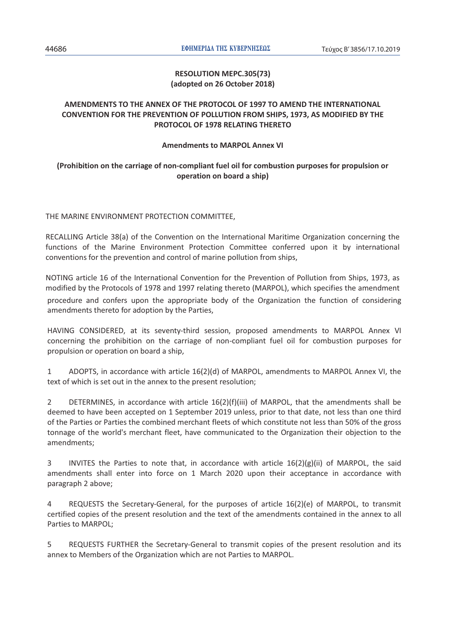# **RESOLUTION MEPC.305(73) (adopted on 26 October 2018)**

# **AMENDMENTS TO THE ANNEX OF THE PROTOCOL OF 1997 TO AMEND THE INTERNATIONAL CONVENTION FOR THE PREVENTION OF POLLUTION FROM SHIPS, 1973, AS MODIFIED BY THE PROTOCOL OF 1978 RELATING THERETO**

# **Amendments to MARPOL Annex VI**

# **(Prohibition on the carriage of non-compliant fuel oil for combustion purposes for propulsion or operation on board a ship)**

# THE MARINE ENVIRONMENT PROTECTION COMMITTEE,

RECALLING Article 38(a) of the Convention on the International Maritime Organization concerning the functions of the Marine Environment Protection Committee conferred upon it by international conventions for the prevention and control of marine pollution from ships,

NOTING article 16 of the International Convention for the Prevention of Pollution from Ships, 1973, as modified by the Protocols of 1978 and 1997 relating thereto (MARPOL), which specifies the amendment procedure and confers upon the appropriate body of the Organization the function of considering amendments thereto for adoption by the Parties,

HAVING CONSIDERED, at its seventy-third session, proposed amendments to MARPOL Annex VI concerning the prohibition on the carriage of non-compliant fuel oil for combustion purposes for propulsion or operation on board a ship,

1 ADOPTS, in accordance with article 16(2)(d) of MARPOL, amendments to MARPOL Annex VI, the text of which is set out in the annex to the present resolution;

2 DETERMINES, in accordance with article 16(2)(f)(iii) of MARPOL, that the amendments shall be deemed to have been accepted on 1 September 2019 unless, prior to that date, not less than one third of the Parties or Parties the combined merchant fleets of which constitute not less than 50% of the gross tonnage of the world's merchant fleet, have communicated to the Organization their objection to the amendments;

3 INVITES the Parties to note that, in accordance with article  $16(2)(g)(ii)$  of MARPOL, the said amendments shall enter into force on 1 March 2020 upon their acceptance in accordance with paragraph 2 above;

4 REQUESTS the Secretary-General, for the purposes of article 16(2)(e) of MARPOL, to transmit certified copies of the present resolution and the text of the amendments contained in the annex to all Parties to MARPOL;

5 REQUESTS FURTHER the Secretary-General to transmit copies of the present resolution and its annex to Members of the Organization which are not Parties to MARPOL.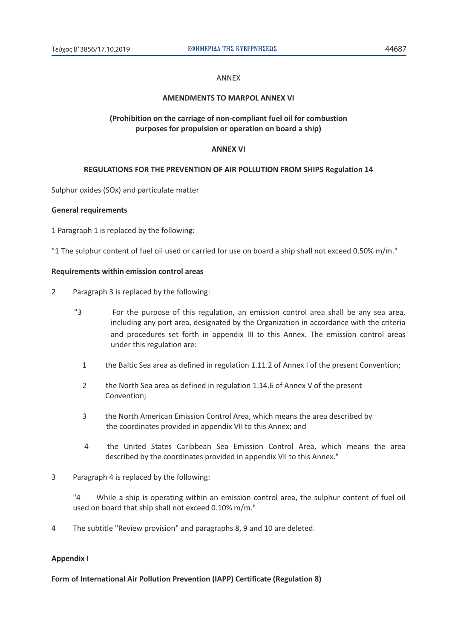#### ANNEX

## **AMENDMENTS TO MARPOL ANNEX VI**

# **(Prohibition on the carriage of non-compliant fuel oil for combustion purposes for propulsion or operation on board a ship)**

#### **ANNEX VI**

## **REGULATIONS FOR THE PREVENTION OF AIR POLLUTION FROM SHIPS Regulation 14**

Sulphur oxides (SOx) and particulate matter

#### **General requirements**

1 Paragraph 1 is replaced by the following:

"1 The sulphur content of fuel oil used or carried for use on board a ship shall not exceed 0.50% m/m."

#### **Requirements within emission control areas**

- 2 Paragraph 3 is replaced by the following:
	- "3 For the purpose of this regulation, an emission control area shall be any sea area, including any port area, designated by the Organization in accordance with the criteria and procedures set forth in appendix III to this Annex. The emission control areas under this regulation are:
		- 1 the Baltic Sea area as defined in regulation 1.11.2 of Annex I of the present Convention;
		- 2 the North Sea area as defined in regulation 1.14.6 of Annex V of the present Convention;
		- 3 the North American Emission Control Area, which means the area described by the coordinates provided in appendix VII to this Annex; and
		- 4 the United States Caribbean Sea Emission Control Area, which means the area described by the coordinates provided in appendix VII to this Annex."
- 3 Paragraph 4 is replaced by the following:

 "4 While a ship is operating within an emission control area, the sulphur content of fuel oil used on board that ship shall not exceed 0.10% m/m."

4 The subtitle "Review provision" and paragraphs 8, 9 and 10 are deleted.

## **Appendix I**

**Form of International Air Pollution Prevention (IAPP) Certificate (Regulation 8)**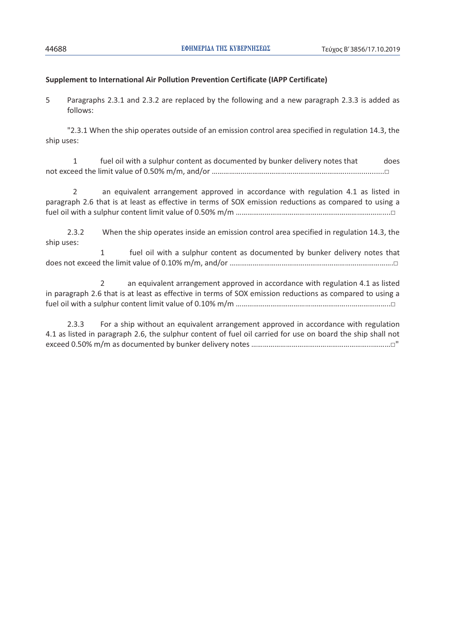# **Supplement to International Air Pollution Prevention Certificate (IAPP Certificate)**

5 Paragraphs 2.3.1 and 2.3.2 are replaced by the following and a new paragraph 2.3.3 is added as follows:

 "2.3.1 When the ship operates outside of an emission control area specified in regulation 14.3, the ship uses:

1 fuel oil with a sulphur content as documented by bunker delivery notes that does not exceed the limit value of 0.50% m/m, and/or …………………………………………………………………………………□

 2 an equivalent arrangement approved in accordance with regulation 4.1 as listed in paragraph 2.6 that is at least as effective in terms of SOX emission reductions as compared to using a fuel oil with a sulphur content limit value of 0.50% m/m ……………………………………………………….…………....□

 2.3.2 When the ship operates inside an emission control area specified in regulation 14.3, the ship uses:

 1 fuel oil with a sulphur content as documented by bunker delivery notes that does not exceed the limit value of 0.10% m/m, and/or ………………………………………………………………………….□

 2 an equivalent arrangement approved in accordance with regulation 4.1 as listed in paragraph 2.6 that is at least as effective in terms of SOX emission reductions as compared to using a fuel oil with a sulphur content limit value of 0.10% m/m …………………………………………………...………………..□

2.3.3 For a ship without an equivalent arrangement approved in accordance with regulation 4.1 as listed in paragraph 2.6, the sulphur content of fuel oil carried for use on board the ship shall not exceed 0.50% m/m as documented by bunker delivery notes ……………………………………………………...………□"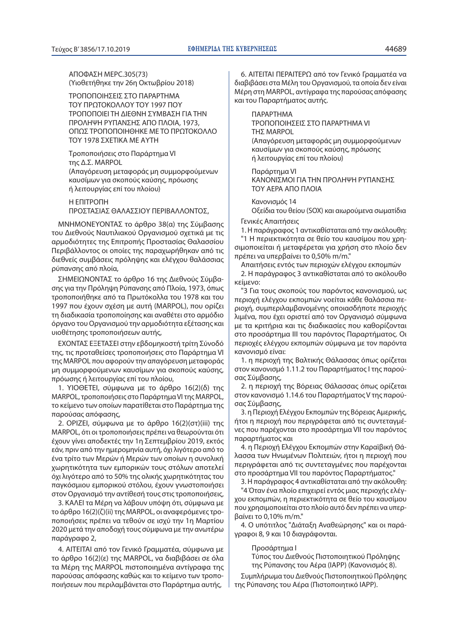ΑΠΟΦΑΣΗ MEPC.305(73) (Υιοθετήθηκε την 26η Οκτωβρίου 2018)

ΤΡΟΠΟΠΟΙΗΣΕΙΣ ΣΤΟ ΠΑΡΑΡΤΗΜΑ ΤΟΥ ΠΡΩΤΟΚΟΛΛΟΥ ΤΟΥ 1997 ΠΟΥ ΤΡΟΠΟΠΟΙΕΙ ΤΗ ΔΙΕΘΝΗ ΣΥΜΒΑΣΗ ΓΙΑ ΤΗΝ ΠΡΟΛΗΨΗ ΡΥΠΑΝΣΗΣ ΑΠΟ ΠΛΟΙΑ, 1973, ΟΠΩΣ ΤΡΟΠΟΠΟΙΗΘΗΚΕ ΜΕ ΤΟ ΠΡΩΤΟΚΟΛΛΟ ΤΟΥ 1978 ΣΧΕΤΙΚΑ ΜΕ ΑΥΤΗ

Τροποποιήσεις στο Παράρτημα VI της Δ.Σ. MARPOL (Απαγόρευση μεταφοράς μη συμμορφούμενων καυσίμων για σκοπούς καύσης, πρόωσης ή λειτουργίας επί του πλοίου)

# Η ΕΠΙΤΡΟΠΗ ΠΡΟΣΤΑΣΙΑΣ ΘΑΛΑΣΣΙΟΥ ΠΕΡΙΒΑΛΛΟΝΤΟΣ,

ΜΝΗΜΟΝΕΥΟΝΤΑΣ το άρθρο 38(α) της Σύμβασης του Διεθνούς Ναυτιλιακού Οργανισμού σχετικά με τις αρμοδιότητες της Επιτροπής Προστασίας Θαλασσίου Περιβάλλοντος οι οποίες της παραχωρήθηκαν από τις διεθνείς συμβάσεις πρόληψης και ελέγχου θαλάσσιας ρύπανσης από πλοία,

ΣΗΜΕΙΩΝΟΝΤΑΣ το άρθρο 16 της Διεθνούς Σύμβασης για την Πρόληψη Ρύπανσης από Πλοία, 1973, όπως τροποποιήθηκε από τα Πρωτόκολλα του 1978 και του 1997 που έχουν σχέση με αυτή (MARPOL), που ορίζει τη διαδικασία τροποποίησης και αναθέτει στο αρμόδιο όργανο του Οργανισμού την αρμοδιότητα εξέτασης και υιοθέτησης τροποποιήσεων αυτής,

ΕΧΟΝΤΑΣ ΕΞΕΤΑΣΕΙ στην εβδομηκοστή τρίτη Σύνοδό της, τις προταθείσες τροποποιήσεις στο Παράρτημα VI της MARPOL που αφορούν την απαγόρευση μεταφοράς μη συμμορφούμενων καυσίμων για σκοπούς καύσης, πρόωσης ή λειτουργίας επί του πλοίου,

1. ΥΙΟΘΕΤΕΙ, σύμφωνα με το άρθρο 16(2)(δ) της MARPOL, τροποποιήσεις στο Παράρτημα VI της MARPOL, το κείμενο των οποίων παρατίθεται στο Παράρτημα της παρούσας απόφασης,

2. ΟΡΙΖΕΙ, σύμφωνα με το άρθρο 16(2)(στ)(iii) της MARPOL, ότι οι τροποποιήσεις πρέπει να θεωρούνται ότι έχουν γίνει αποδεκτές την 1η Σεπτεμβρίου 2019, εκτός εάν, πριν από την ημερομηνία αυτή, όχι λιγότερο από το ένα τρίτο των Μερών ή Μερών των οποίων η συνολική χωρητικότητα των εμπορικών τους στόλων αποτελεί όχι λιγότερο από το 50% της ολικής χωρητικότητας του παγκόσμιου εμπορικού στόλου, έχουν γνωστοποιήσει στον Οργανισμό την αντίθεσή τους στις τροποποιήσεις,

3. ΚΑΛΕΙ τα Μέρη να λάβουν υπόψη ότι, σύμφωνα με το άρθρο 16(2)(ζ)(ii) της MARPOL, οι αναφερόμενες τροποποιήσεις πρέπει να τεθούν σε ισχύ την 1η Μαρτίου 2020 μετά την αποδοχή τους σύμφωνα με την ανωτέρω παράγραφο 2,

4. ΑΙΤΕΙΤΑΙ από τον Γενικό Γραμματέα, σύμφωνα με το άρθρο 16(2)(ε) της MARPOL, να διαβιβάσει σε όλα τα Μέρη της MARPOL πιστοποιημένα αντίγραφα της παρούσας απόφασης καθώς και το κείμενο των τροποποιήσεων που περιλαμβάνεται στο Παράρτημα αυτής,

6. ΑΙΤΕΙΤΑΙ ΠΕΡΑΙΤΕΡΩ από τον Γενικό Γραμματέα να διαβιβάσει στα Μέλη του Οργανισμού, τα οποία δεν είναι Μέρη στη MARPOL, αντίγραφα της παρούσας απόφασης και του Παραρτήματος αυτής.

ΠΑΡΑΡΤΗΜΑ

ΤΡΟΠΟΠΟΙΗΣΕΙΣ ΣΤΟ ΠΑΡΑΡΤΗΜΑ VI ΤΗΣ MARPOL (Απαγόρευση μεταφοράς μη συμμορφούμενων καυσίμων για σκοπούς καύσης, πρόωσης

ή λειτουργίας επί του πλοίου)

Παράρτημα VI ΚΑΝΟΝΙΣΜΟΙ ΓΙΑ ΤΗΝ ΠΡΟΛΗΨΗ ΡΥΠΑΝΣΗΣ ΤΟΥ ΑΕΡΑ ΑΠΟ ΠΛΟΙΑ

Κανονισμός 14

Οξείδια του θείου (SOX) και αιωρούμενα σωματίδια Γενικές Απαιτήσεις

1. Η παράγραφος 1 αντικαθίσταται από την ακόλουθη: "1 Η περιεκτικότητα σε θείο του καυσίμου που χρησιμοποιείται ή μεταφέρεται για χρήση στο πλοίο δεν πρέπει να υπερβαίνει το 0,50% m/m."

Απαιτήσεις εντός των περιοχών ελέγχου εκπομπών

2. Η παράγραφος 3 αντικαθίσταται από το ακόλουθο κείμενο:

"3 Για τους σκοπούς του παρόντος κανονισμού, ως περιοχή ελέγχου εκπομπών νοείται κάθε θαλάσσια περιοχή, συμπεριλαμβανομένης οποιασδήποτε περιοχής λιμένα, που έχει οριστεί από τον Οργανισμό σύμφωνα με τα κριτήρια και τις διαδικασίες που καθορίζονται στο προσάρτημα III του παρόντος Παραρτήματος. Οι περιοχές ελέγχου εκπομπών σύμφωνα με τον παρόντα κανονισμό είναι:

1. η περιοχή της Βαλτικής Θάλασσας όπως ορίζεται στον κανονισμό 1.11.2 του Παραρτήματος Ι της παρούσας Σύμβασης,

2. η περιοχή της Βόρειας Θάλασσας όπως ορίζεται στον κανονισμό 1.14.6 του Παραρτήματος V της παρούσας Σύμβασης,

3. η Περιοχή Ελέγχου Εκπομπών της Βόρειας Αμερικής, ήτοι η περιοχή που περιγράφεται από τις συντεταγμένες που παρέχονται στο προσάρτημα VII του παρόντος παραρτήματος και

4. η Περιοχή Ελέγχου Εκπομπών στην Καραϊβική Θάλασσα των Ηνωμένων Πολιτειών, ήτοι η περιοχή που περιγράφεται από τις συντεταγμένες που παρέχονται στο προσάρτημα VII του παρόντος Παραρτήματος."

3. Η παράγραφος 4 αντικαθίσταται από την ακόλουθη:

"4 Όταν ένα πλοίο επιχειρεί εντός μιας περιοχής ελέγχου εκπομπών, η περιεκτικότητα σε θείο του καυσίμου που χρησιμοποιείται στο πλοίο αυτό δεν πρέπει να υπερβαίνει το 0,10% m/m."

4. Ο υπότιτλος "Διάταξη Αναθεώρησης" και οι παράγραφοι 8, 9 και 10 διαγράφονται.

#### Προσάρτημα Ι

Τύπος του Διεθνούς Πιστοποιητικού Πρόληψης της Ρύπανσης του Αέρα (ΙΑΡΡ) (Κανονισμός 8).

Συμπλήρωμα του Διεθνούς Πιστοποιητικού Πρόληψης της Ρύπανσης του Αέρα (Πιστοποιητικό ΙΑΡΡ).